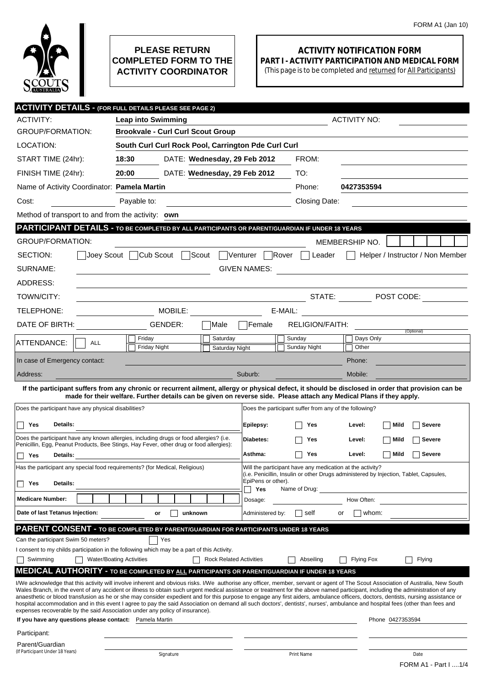

## **PLEASE RETURN COMPLETED FORM TO THE ACTIVITY COORDINATOR**

## **ACTIVITY NOTIFICATION FORM PART I - ACTIVITY PARTICIPATION AND MEDICAL FORM**

(This page is to be completed and returned for All Participants)

|                                                                                                                                                                                                                                                                             | <b>ACTIVITY DETAILS - (FOR FULL DETAILS PLEASE SEE PAGE 2)</b>                                                                                                                                                                                                                                                                                                         |                                                        |                                  |  |  |  |
|-----------------------------------------------------------------------------------------------------------------------------------------------------------------------------------------------------------------------------------------------------------------------------|------------------------------------------------------------------------------------------------------------------------------------------------------------------------------------------------------------------------------------------------------------------------------------------------------------------------------------------------------------------------|--------------------------------------------------------|----------------------------------|--|--|--|
| <b>ACTIVITY:</b>                                                                                                                                                                                                                                                            | <b>Leap into Swimming</b>                                                                                                                                                                                                                                                                                                                                              |                                                        | <b>ACTIVITY NO:</b>              |  |  |  |
| <b>GROUP/FORMATION:</b>                                                                                                                                                                                                                                                     | <b>Brookvale - Curl Curl Scout Group</b>                                                                                                                                                                                                                                                                                                                               |                                                        |                                  |  |  |  |
| LOCATION:                                                                                                                                                                                                                                                                   | South Curl Curl Rock Pool, Carrington Pde Curl Curl                                                                                                                                                                                                                                                                                                                    |                                                        |                                  |  |  |  |
| START TIME (24hr):                                                                                                                                                                                                                                                          | 18:30<br>DATE: Wednesday, 29 Feb 2012                                                                                                                                                                                                                                                                                                                                  | FROM:                                                  |                                  |  |  |  |
| FINISH TIME (24hr):                                                                                                                                                                                                                                                         | 20:00<br>DATE: Wednesday, 29 Feb 2012                                                                                                                                                                                                                                                                                                                                  | TO:                                                    |                                  |  |  |  |
| Name of Activity Coordinator: Pamela Martin                                                                                                                                                                                                                                 |                                                                                                                                                                                                                                                                                                                                                                        | Phone:                                                 | 0427353594                       |  |  |  |
| Cost:                                                                                                                                                                                                                                                                       | Payable to:<br><u> 1980 - Johann Barbara, martin d</u>                                                                                                                                                                                                                                                                                                                 | <b>Closing Date:</b>                                   |                                  |  |  |  |
| Method of transport to and from the activity: own                                                                                                                                                                                                                           |                                                                                                                                                                                                                                                                                                                                                                        |                                                        |                                  |  |  |  |
| PARTICIPANT DETAILS - TO BE COMPLETED BY ALL PARTICIPANTS OR PARENT/GUARDIAN IF UNDER 18 YEARS                                                                                                                                                                              |                                                                                                                                                                                                                                                                                                                                                                        |                                                        |                                  |  |  |  |
| <b>GROUP/FORMATION:</b>                                                                                                                                                                                                                                                     |                                                                                                                                                                                                                                                                                                                                                                        |                                                        | MEMBERSHIP NO.                   |  |  |  |
| SECTION:<br>Joev Scout                                                                                                                                                                                                                                                      | Cub Scout [<br>Scout                                                                                                                                                                                                                                                                                                                                                   | Venturer<br> Rover<br>Leader                           | Helper / Instructor / Non Member |  |  |  |
| SURNAME:<br><b>GIVEN NAMES:</b><br><u> 1989 - Johann John Stein, markin fyrstu og fyrstu og fyrstu og fyrstu og fyrstu og fyrstu og fyrstu og fyrstu</u>                                                                                                                    |                                                                                                                                                                                                                                                                                                                                                                        |                                                        |                                  |  |  |  |
| ADDRESS:                                                                                                                                                                                                                                                                    |                                                                                                                                                                                                                                                                                                                                                                        |                                                        |                                  |  |  |  |
| TOWN/CITY:                                                                                                                                                                                                                                                                  |                                                                                                                                                                                                                                                                                                                                                                        |                                                        | STATE: The POST CODE:            |  |  |  |
| TELEPHONE:                                                                                                                                                                                                                                                                  | MOBILE:                                                                                                                                                                                                                                                                                                                                                                | E-MAIL:                                                |                                  |  |  |  |
| DATE OF BIRTH:                                                                                                                                                                                                                                                              | GENDER:<br> Male                                                                                                                                                                                                                                                                                                                                                       | RELIGION/FAITH:<br><b>Female</b>                       |                                  |  |  |  |
|                                                                                                                                                                                                                                                                             | Friday<br>Saturday                                                                                                                                                                                                                                                                                                                                                     | Sunday                                                 | (Optional)<br>Days Only          |  |  |  |
| ATTENDANCE:<br><b>ALL</b>                                                                                                                                                                                                                                                   | <b>Friday Night</b><br>Saturday Night                                                                                                                                                                                                                                                                                                                                  | Sunday Night                                           | Other                            |  |  |  |
| In case of Emergency contact:                                                                                                                                                                                                                                               |                                                                                                                                                                                                                                                                                                                                                                        |                                                        | Phone:                           |  |  |  |
| Address:                                                                                                                                                                                                                                                                    |                                                                                                                                                                                                                                                                                                                                                                        | Suburb:                                                | Mobile:                          |  |  |  |
| If the participant suffers from any chronic or recurrent ailment, allergy or physical defect, it should be disclosed in order that provision can be<br>made for their welfare. Further details can be given on reverse side. Please attach any Medical Plans if they apply. |                                                                                                                                                                                                                                                                                                                                                                        |                                                        |                                  |  |  |  |
| Does the participant have any physical disabilities?                                                                                                                                                                                                                        |                                                                                                                                                                                                                                                                                                                                                                        | Does the participant suffer from any of the following? |                                  |  |  |  |
| Details:<br>Yes                                                                                                                                                                                                                                                             |                                                                                                                                                                                                                                                                                                                                                                        | Yes                                                    | Mild<br>Severe<br>Level:         |  |  |  |
|                                                                                                                                                                                                                                                                             | Does the participant have any known allergies, including drugs or food allergies? (i.e.                                                                                                                                                                                                                                                                                | Epilepsy:                                              |                                  |  |  |  |
|                                                                                                                                                                                                                                                                             | Penicillin, Egg, Peanut Products, Bee Stings, Hay Fever, other drug or food allergies):                                                                                                                                                                                                                                                                                | Diabetes:<br>Yes                                       | Mild<br>Severe<br>Level:         |  |  |  |
| Yes<br>Details:                                                                                                                                                                                                                                                             |                                                                                                                                                                                                                                                                                                                                                                        | Asthma:<br>Yes                                         | Mild<br>Severe<br>Level:         |  |  |  |
| Will the participant have any medication at the activity?<br>Has the participant any special food requirements? (for Medical, Religious)<br>(i.e. Penicillin, Insulin or other Drugs administered by Injection, Tablet, Capsules,                                           |                                                                                                                                                                                                                                                                                                                                                                        |                                                        |                                  |  |  |  |
| Details:<br>Yes                                                                                                                                                                                                                                                             |                                                                                                                                                                                                                                                                                                                                                                        | EpiPens or other).<br>Yes<br>Name of Drug:             |                                  |  |  |  |
| <b>Medicare Number:</b>                                                                                                                                                                                                                                                     |                                                                                                                                                                                                                                                                                                                                                                        | Dosage:                                                | How Often:                       |  |  |  |
| Date of last Tetanus Injection:                                                                                                                                                                                                                                             | unknown<br>or                                                                                                                                                                                                                                                                                                                                                          | Administered by:<br>self                               | whom:<br>or                      |  |  |  |
|                                                                                                                                                                                                                                                                             | <b>PARENT CONSENT - TO BE COMPLETED BY PARENT/GUARDIAN FOR PARTICIPANTS UNDER 18 YEARS</b>                                                                                                                                                                                                                                                                             |                                                        |                                  |  |  |  |
| Can the participant Swim 50 meters?                                                                                                                                                                                                                                         | Yes                                                                                                                                                                                                                                                                                                                                                                    |                                                        |                                  |  |  |  |
|                                                                                                                                                                                                                                                                             | I consent to my childs participation in the following which may be a part of this Activity.                                                                                                                                                                                                                                                                            |                                                        |                                  |  |  |  |
| Swimming                                                                                                                                                                                                                                                                    | <b>Water/Boating Activities</b><br><b>Rock Related Activities</b>                                                                                                                                                                                                                                                                                                      | Abseiling                                              | Flying<br><b>Flying Fox</b>      |  |  |  |
|                                                                                                                                                                                                                                                                             | <b>MEDICAL AUTHORITY - TO BE COMPLETED BY ALL PARTICIPANTS OR PARENT/GUARDIAN IF UNDER 18 YEARS</b>                                                                                                                                                                                                                                                                    |                                                        |                                  |  |  |  |
|                                                                                                                                                                                                                                                                             | I/We acknowledge that this activity will involve inherent and obvious risks. I/We authorise any officer, member, servant or agent of The Scout Association of Australia, New South<br>Wales Branch, in the event of any accident or illness to obtain such urgent medical assistance or treatment for the above named participant, including the administration of any |                                                        |                                  |  |  |  |
|                                                                                                                                                                                                                                                                             | anaesthetic or blood transfusion as he or she may consider expedient and for this purpose to engage any first aiders, ambulance officers, doctors, dentists, nursing assistance or<br>hospital accommodation and in this event I agree to pay the said Association on demand all such doctors', dentists', nurses', ambulance and hospital fees (other than fees and   |                                                        |                                  |  |  |  |
| If you have any questions please contact: Pamela Martin                                                                                                                                                                                                                     | expenses recoverable by the said Association under any policy of insurance).                                                                                                                                                                                                                                                                                           |                                                        | Phone 0427353594                 |  |  |  |
| Participant:                                                                                                                                                                                                                                                                |                                                                                                                                                                                                                                                                                                                                                                        |                                                        |                                  |  |  |  |
| Parent/Guardian                                                                                                                                                                                                                                                             |                                                                                                                                                                                                                                                                                                                                                                        |                                                        |                                  |  |  |  |
| (If Participant Under 18 Years)                                                                                                                                                                                                                                             | Signature                                                                                                                                                                                                                                                                                                                                                              | Print Name                                             | Date                             |  |  |  |
|                                                                                                                                                                                                                                                                             |                                                                                                                                                                                                                                                                                                                                                                        |                                                        | FORM A1 - Part I 1/4             |  |  |  |